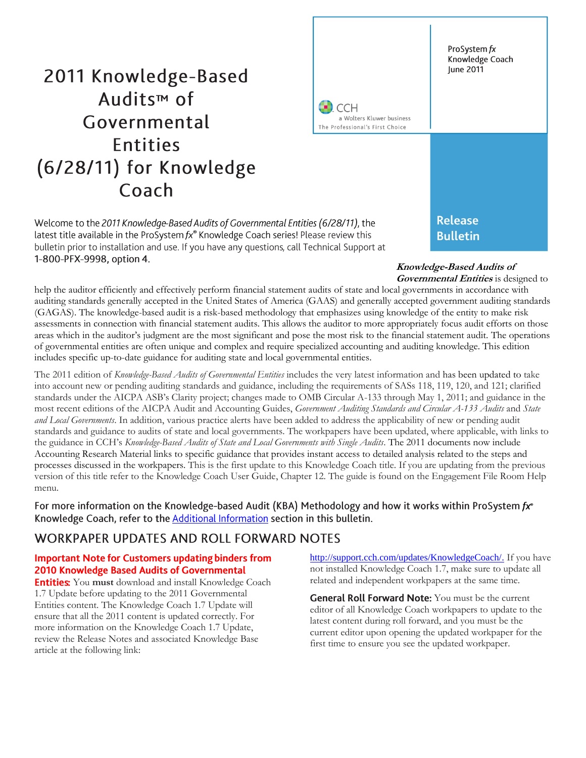# 2011 Knowledge-Based Audits<sup>™</sup> of Governmental **Entities** (6/28/11) for Knowledge Coach

Welcome to the 2011 Knowledge-Based Audits of Governmental Entities (6/28/11), the latest title available in the ProSystem  $fx^*$  Knowledge Coach series! Please review this bulletin prior to installation and use. If you have any questions, call Technical Support at 1-800-PFX-9998, option 4.

**CCH** a Wolters Kluwer business The Professional's First Choice

> **Release Bulletin**

#### **Knowledge-Based Audits of Governmental Entities** is designed to

help the auditor efficiently and effectively perform financial statement audits of state and local governments in accordance with auditing standards generally accepted in the United States of America (GAAS) and generally accepted government auditing standards (GAGAS). The knowledge-based audit is a risk-based methodology that emphasizes using knowledge of the entity to make risk assessments in connection with financial statement audits. This allows the auditor to more appropriately focus audit efforts on those areas which in the auditor's judgment are the most significant and pose the most risk to the financial statement audit. The operations of governmental entities are often unique and complex and require specialized accounting and auditing knowledge. This edition includes specific up-to-date guidance for auditing state and local governmental entities.

The 2011 edition of *Knowledge-Based Audits of Governmental Entities* includes the very latest information and has been updated to take into account new or pending auditing standards and guidance, including the requirements of SASs 118, 119, 120, and 121; clarified standards under the AICPA ASB's Clarity project; changes made to OMB Circular A-133 through May 1, 2011; and guidance in the most recent editions of the AICPA Audit and Accounting Guides, *Government Auditing Standards and Circular A-133 Audits* and *State and Local Governments*. In addition, various practice alerts have been added to address the applicability of new or pending audit standards and guidance to audits of state and local governments. The workpapers have been updated, where applicable, with links to the guidance in CCH's *Knowledge-Based Audits of State and Local Governments with Single Audits*. The 2011 documents now include Accounting Research Material links to specific guidance that provides instant access to detailed analysis related to the steps and processes discussed in the workpapers. This is the first update to this Knowledge Coach title. If you are updating from the previous version of this title refer to the Knowledge Coach User Guide, Chapter 12. The guide is found on the Engagement File Room Help menu.

For more information on the Knowledge-based Audit (KBA) Methodology and how it works within ProSystem fx<sup>®</sup> Knowledge Coach, refer to the **Additional Information** section in this bulletin.

# WORKPAPER UPDATES AND ROLL FORWARD NOTES

### **Important Note for Customers updating binders from** 2010 Knowledge Based Audits of Governmental

**Entities:** You must download and install Knowledge Coach 1.7 Update before updating to the 2011 Governmental Entities content. The Knowledge Coach 1.7 Update will ensure that all the 2011 content is updated correctly. For more information on the Knowledge Coach 1.7 Update, review the Release Notes and associated Knowledge Base article at the following link:

[http://support.cch.com/updates/KnowledgeCoach/.](http://support.cch.com/updates/KnowledgeCoach/) If you have not installed Knowledge Coach 1.7, make sure to update all related and independent workpapers at the same time.

**General Roll Forward Note:** You must be the current editor of all Knowledge Coach workpapers to update to the latest content during roll forward, and you must be the current editor upon opening the updated workpaper for the first time to ensure you see the updated workpaper.

ProSystem fx Knowledge Coach June 2011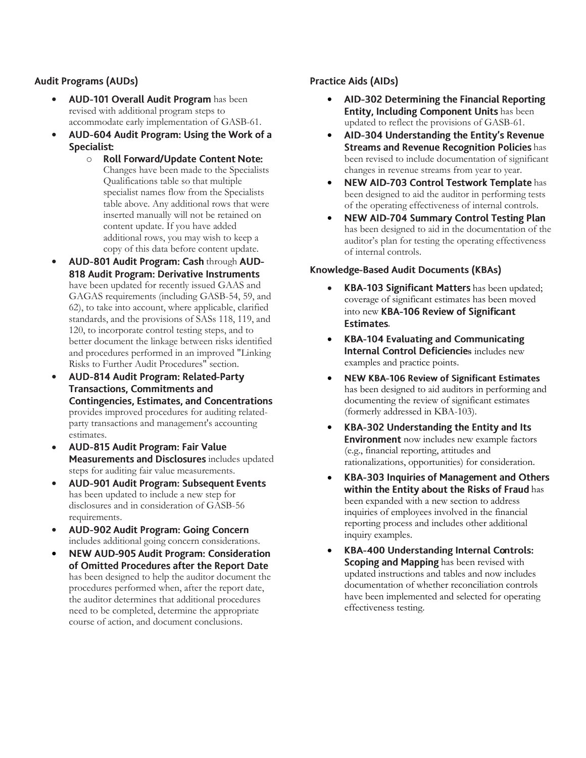# **Audit Programs (AUDs)**

- AUD-101 Overall Audit Program has been revised with additional program steps to accommodate early implementation of GASB-61.
- $\bullet$ AUD-604 Audit Program: Using the Work of a Specialist:
	- **Roll Forward/Update Content Note:** o Changes have been made to the Specialists Qualifications table so that multiple specialist names flow from the Specialists table above. Any additional rows that were inserted manually will not be retained on content update. If you have added additional rows, you may wish to keep a copy of this data before content update.
- AUD-801 Audit Program: Cash through AUD-818 Audit Program: Derivative Instruments have been updated for recently issued GAAS and GAGAS requirements (including GASB-54, 59, and 62), to take into account, where applicable, clarified standards, and the provisions of SASs 118, 119, and 120, to incorporate control testing steps, and to better document the linkage between risks identified and procedures performed in an improved "Linking Risks to Further Audit Procedures" section.
- $\bullet$ AUD-814 Audit Program: Related-Party **Transactions, Commitments and Contingencies, Estimates, and Concentrations** provides improved procedures for auditing relatedparty transactions and management's accounting estimates.
- $\bullet$ AUD-815 Audit Program: Fair Value Measurements and Disclosures includes updated steps for auditing fair value measurements.
- $\bullet$ **AUD-901 Audit Program: Subsequent Events** has been updated to include a new step for disclosures and in consideration of GASB-56 requirements.
- $\bullet$ AUD-902 Audit Program: Going Concern includes additional going concern considerations.
- $\bullet$ **NEW AUD-905 Audit Program: Consideration** of Omitted Procedures after the Report Date has been designed to help the auditor document the procedures performed when, after the report date, the auditor determines that additional procedures need to be completed, determine the appropriate course of action, and document conclusions.

# **Practice Aids (AIDs)**

- $\bullet$ AID-302 Determining the Financial Reporting **Entity, Including Component Units has been** updated to reflect the provisions of GASB-61.
- $\bullet$ AID-304 Understanding the Entity's Revenue **Streams and Revenue Recognition Policies has** been revised to include documentation of significant changes in revenue streams from year to year.
- NEW AID-703 Control Testwork Template has been designed to aid the auditor in performing tests of the operating effectiveness of internal controls.
- $\bullet$ **NEW AID-704 Summary Control Testing Plan** has been designed to aid in the documentation of the auditor's plan for testing the operating effectiveness of internal controls.

### Knowledge-Based Audit Documents (KBAs)

- KBA-103 Significant Matters has been updated; coverage of significant estimates has been moved into new KBA-106 Review of Significant **Estimates.**
- **KBA-104 Evaluating and Communicating**  $\bullet$ **Internal Control Deficiencies includes new** examples and practice points.
- **NEW KBA-106 Review of Significant Estimates**  $\bullet$ has been designed to aid auditors in performing and documenting the review of significant estimates (formerly addressed in KBA-103).
- $\bullet$ KBA-302 Understanding the Entity and Its **Environment** now includes new example factors (e.g., financial reporting, attitudes and rationalizations, opportunities) for consideration.
- $\bullet$ **KBA-303 Inquiries of Management and Others** within the Entity about the Risks of Fraud has been expanded with a new section to address inquiries of employees involved in the financial reporting process and includes other additional inquiry examples.
- $\bullet$ **KBA-400 Understanding Internal Controls:** Scoping and Mapping has been revised with updated instructions and tables and now includes documentation of whether reconciliation controls have been implemented and selected for operating effectiveness testing.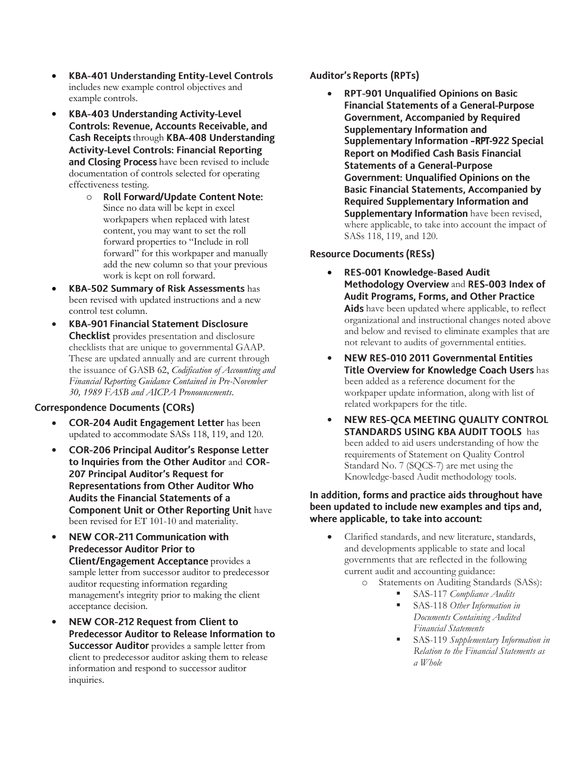- $\bullet$ **KBA-401 Understanding Entity-Level Controls** includes new example control objectives and example controls.
- $\bullet$ KBA-403 Understanding Activity-Level **Controls: Revenue, Accounts Receivable, and** Cash Receipts through KBA-408 Understanding **Activity-Level Controls: Financial Reporting** and Closing Process have been revised to include documentation of controls selected for operating effectiveness testing.
	- **Roll Forward/Update Content Note:** o Since no data will be kept in excel workpapers when replaced with latest content, you may want to set the roll forward properties to "Include in roll forward" for this workpaper and manually add the new column so that your previous work is kept on roll forward.
- KBA-502 Summary of Risk Assessments has been revised with updated instructions and a new control test column.
- $\bullet$ **KBA-901 Financial Statement Disclosure Checklist** provides presentation and disclosure checklists that are unique to governmental GAAP. These are updated annually and are current through the issuance of GASB 62, *Codification of Accounting and Financial Reporting Guidance Contained in Pre-November 30, 1989 FASB and AICPA Pronouncements*.

### **Correspondence Documents (CORs)**

- **COR-204 Audit Engagement Letter has been** updated to accommodate SASs 118, 119, and 120.
- **COR-206 Principal Auditor's Response Letter**  $\bullet$ to Inquiries from the Other Auditor and COR-207 Principal Auditor's Request for **Representations from Other Auditor Who** Audits the Financial Statements of a **Component Unit or Other Reporting Unit have** been revised for ET 101-10 and materiality.
- **NEW COR-211 Communication with**  $\bullet$ **Predecessor Auditor Prior to Client/Engagement Acceptance** provides a sample letter from successor auditor to predecessor auditor requesting information regarding management's integrity prior to making the client acceptance decision.
- NEW COR-212 Request from Client to  $\bullet$ **Predecessor Auditor to Release Information to** Successor Auditor provides a sample letter from client to predecessor auditor asking them to release information and respond to successor auditor inquiries.

### **Auditor's Reports (RPTs)**

 $\bullet$ **RPT-901 Unqualified Opinions on Basic Financial Statements of a General-Purpose Government, Accompanied by Required** Supplementary Information and Supplementary Information -RPT-922 Special **Report on Modified Cash Basis Financial Statements of a General-Purpose Government: Unqualified Opinions on the Basic Financial Statements, Accompanied by Required Supplementary Information and** Supplementary Information have been revised, where applicable, to take into account the impact of SASs 118, 119, and 120.

### **Resource Documents (RESs)**

- $\bullet$ **RES-001 Knowledge-Based Audit** Methodology Overview and RES-003 Index of Audit Programs, Forms, and Other Practice Aids have been updated where applicable, to reflect organizational and instructional changes noted above and below and revised to eliminate examples that are not relevant to audits of governmental entities.
- NEW RES-010 2011 Governmental Entities  $\bullet$ Title Overview for Knowledge Coach Users has been added as a reference document for the workpaper update information, along with list of related workpapers for the title.
- $\bullet$ NEW RES-QCA MEETING QUALITY CONTROL **STANDARDS USING KBA AUDIT TOOLS has** been added to aid users understanding of how the requirements of Statement on Quality Control Standard No. 7 (SQCS-7) are met using the Knowledge-based Audit methodology tools.

### In addition, forms and practice aids throughout have been updated to include new examples and tips and, where applicable, to take into account:

- Clarified standards, and new literature, standards, and developments applicable to state and local governments that are reflected in the following current audit and accounting guidance:
	- o Statements on Auditing Standards (SASs):
		- SAS-117 *Compliance Audits*
			- SAS-118 *Other Information in Documents Containing Audited Financial Statements*
			- SAS-119 *Supplementary Information in Relation to the Financial Statements as a Whole*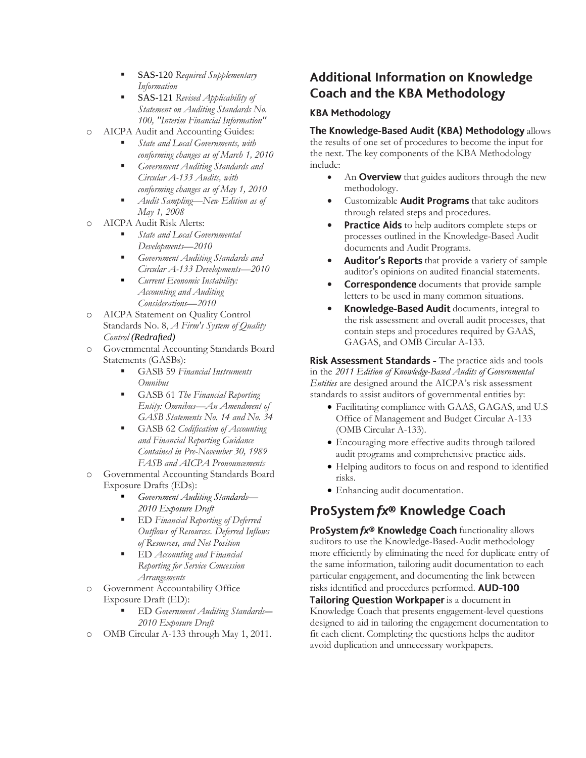- SAS-120 *Required Supplementary Information*
- SAS-121 *Revised Applicability of Statement on Auditing Standards No. 100, "Interim Financial Information"*
- o AICPA Audit and Accounting Guides:
	- *State and Local Governments, with conforming changes as of March 1, 2010*
	- *Government Auditing Standards and Circular A-133 Audits, with conforming changes as of May 1, 2010*
	- *Audit Sampling—New Edition as of May 1, 2008*
- o AICPA Audit Risk Alerts:
	- *State and Local Governmental Developments—2010*
	- *[Government Auditing Standards and](http://www.accountingresearchmanager.com/wk/rm.nsf/8befeab843ef00cd072564ac0082d2ad/a38491425ed4d0518625764100493761?OpenDocument&rnm=184359)  [Circular A-133 Developments](http://www.accountingresearchmanager.com/wk/rm.nsf/8befeab843ef00cd072564ac0082d2ad/a38491425ed4d0518625764100493761?OpenDocument&rnm=184359)—2010*
	- *[Current Economic Instability:](http://www.accountingresearchmanager.com/wk/rm.nsf/8befeab843ef00cd072564ac0082d2ad/34e871633a13de7a86257641004b0eeb?OpenDocument&rnm=495626)  [Accounting and Auditing](http://www.accountingresearchmanager.com/wk/rm.nsf/8befeab843ef00cd072564ac0082d2ad/34e871633a13de7a86257641004b0eeb?OpenDocument&rnm=495626)  [Considerations](http://www.accountingresearchmanager.com/wk/rm.nsf/8befeab843ef00cd072564ac0082d2ad/34e871633a13de7a86257641004b0eeb?OpenDocument&rnm=495626)—2010*
- o AICPA Statement on Quality Control Standards No. 8, *A Firm's System of Quality Control (Redrafted)*
- o Governmental Accounting Standards Board Statements (GASBs):
	- GASB 59 *Financial Instruments Omnibus*
	- GASB 61 *The Financial Reporting Entity: Omnibus—An Amendment of GASB Statements No. 14 and No. 34*
	- GASB 62 *Codification of Accounting and Financial Reporting Guidance Contained in Pre-November 30, 1989 FASB and AICPA Pronouncements*
- o Governmental Accounting Standards Board Exposure Drafts (EDs):
	- *Government Auditing Standards— 2010 Exposure Draft*
	- ED *Financial Reporting of Deferred Outflows of Resources. Deferred Inflows of Resources, and Net Position*
	- ED *Accounting and Financial Reporting for Service Concession Arrangements*
- Government Accountability Office Exposure Draft (ED):
	- ED *Government Auditing Standards— 2010 Exposure Draft*
- OMB Circular A-133 through May 1, 2011.

# **Additional Information on Knowledge Coach and the KBA Methodology**

# **KBA Methodology**

# The Knowledge-Based Audit (KBA) Methodology allows

the results of one set of procedures to become the input for the next. The key components of the KBA Methodology include:

- An **Overview** that guides auditors through the new methodology.
- Customizable **Audit Programs** that take auditors through related steps and procedures.
- **Practice Aids** to help auditors complete steps or processes outlined in the Knowledge-Based Audit documents and Audit Programs.
- Auditor's Reports that provide a variety of sample auditor's opinions on audited financial statements.
- **Correspondence** documents that provide sample letters to be used in many common situations.
- Knowledge-Based Audit documents, integral to the risk assessment and overall audit processes, that contain steps and procedures required by GAAS, GAGAS, and OMB Circular A-133.

Risk Assessment Standards - The practice aids and tools in the *2011 Edition of Knowledge-Based Audits of Governmental Entities* are designed around the AICPA's risk assessment standards to assist auditors of governmental entities by:

- Facilitating compliance with GAAS, GAGAS, and U.S Office of Management and Budget Circular A-133 (OMB Circular A-133).
- Encouraging more effective audits through tailored audit programs and comprehensive practice aids.
- Helping auditors to focus on and respond to identified risks.
- Enhancing audit documentation.

# ProSystem fx® Knowledge Coach

ProSystem fx® Knowledge Coach functionality allows auditors to use the Knowledge-Based-Audit methodology more efficiently by eliminating the need for duplicate entry of the same information, tailoring audit documentation to each particular engagement, and documenting the link between risks identified and procedures performed. AUD-100 Tailoring Question Workpaper is a document in

Knowledge Coach that presents engagement-level questions designed to aid in tailoring the engagement documentation to fit each client. Completing the questions helps the auditor avoid duplication and unnecessary workpapers.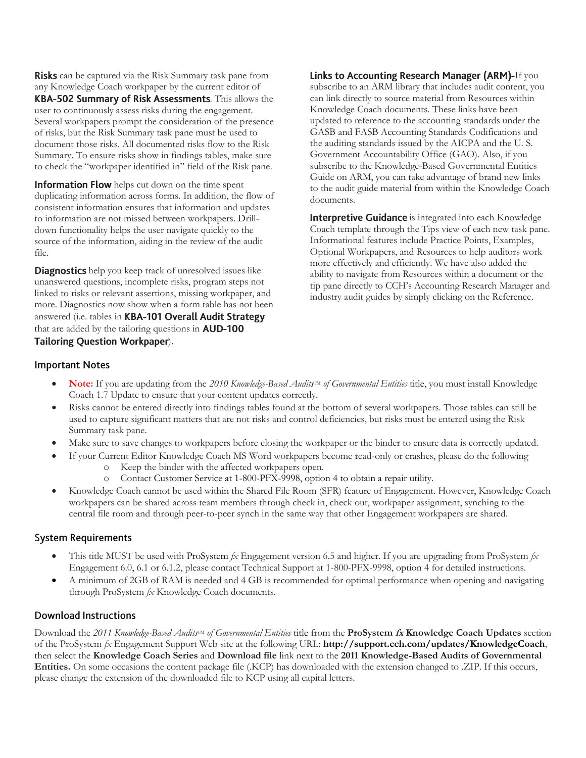**Risks** can be captured via the Risk Summary task pane from any Knowledge Coach workpaper by the current editor of KBA-502 Summary of Risk Assessments. This allows the user to continuously assess risks during the engagement. Several workpapers prompt the consideration of the presence of risks, but the Risk Summary task pane must be used to document those risks. All documented risks flow to the Risk Summary. To ensure risks show in findings tables, make sure to check the "workpaper identified in" field of the Risk pane.

Information Flow helps cut down on the time spent duplicating information across forms. In addition, the flow of consistent information ensures that information and updates to information are not missed between workpapers. Drilldown functionality helps the user navigate quickly to the source of the information, aiding in the review of the audit file.

**Diagnostics** help you keep track of unresolved issues like unanswered questions, incomplete risks, program steps not linked to risks or relevant assertions, missing workpaper, and more. Diagnostics now show when a form table has not been answered (i.e. tables in KBA-101 Overall Audit Strategy that are added by the tailoring questions in **AUD-100 Tailoring Question Workpaper).** 

Links to Accounting Research Manager (ARM)-If you subscribe to an ARM library that includes audit content, you can link directly to source material from Resources within Knowledge Coach documents. These links have been updated to reference to the accounting standards under the GASB and FASB Accounting Standards Codifications and the auditing standards issued by the AICPA and the U. S. Government Accountability Office (GAO). Also, if you subscribe to the Knowledge-Based Governmental Entities Guide on ARM, you can take advantage of brand new links to the audit guide material from within the Knowledge Coach documents.

Interpretive Guidance is integrated into each Knowledge Coach template through the Tips view of each new task pane. Informational features include Practice Points, Examples, Optional Workpapers, and Resources to help auditors work more effectively and efficiently. We have also added the ability to navigate from Resources within a document or the tip pane directly to CCH's Accounting Research Manager and industry audit guides by simply clicking on the Reference.

### **Important Notes**

- Note: If you are updating from the 2010 Knowledge-Based Audits<sup>TM</sup> of Governmental Entities title, you must install Knowledge Coach 1.7 Update to ensure that your content updates correctly.
- Risks cannot be entered directly into findings tables found at the bottom of several workpapers. Those tables can still be used to capture significant matters that are not risks and control deficiencies, but risks must be entered using the Risk Summary task pane.
- Make sure to save changes to workpapers before closing the workpaper or the binder to ensure data is correctly updated.
	- If your Current Editor Knowledge Coach MS Word workpapers become read-only or crashes, please do the following o Keep the binder with the affected workpapers open.
		- o Contact Customer Service at 1-800-PFX-9998, option 4 to obtain a repair utility.
- Knowledge Coach cannot be used within the Shared File Room (SFR) feature of Engagement. However, Knowledge Coach workpapers can be shared across team members through check in, check out, workpaper assignment, synching to the central file room and through peer-to-peer synch in the same way that other Engagement workpapers are shared.

### **System Requirements**

- This title MUST be used with ProSystem *fx* Engagement version 6.5 and higher. If you are upgrading from ProSystem *fx*  Engagement 6.0, 6.1 or 6.1.2, please contact Technical Support at 1-800-PFX-9998, option 4 for detailed instructions.
- A minimum of 2GB of RAM is needed and 4 GB is recommended for optimal performance when opening and navigating through ProSystem *fx* Knowledge Coach documents.

### **Download Instructions**

Download the 2011 *Knowledge-Based Audits*<sup>TM</sup> of Governmental Entities title from the **ProSystem**  $\kappa$  **Knowledge Coach Updates** section of the ProSystem *fx* Engagement Support Web site at the following URL: **http://support.cch.com/updates/KnowledgeCoach**, then select the **Knowledge Coach Series** and **Download file** link next to the **2011 Knowledge-Based Audits of Governmental Entities.** On some occasions the content package file (.KCP) has downloaded with the extension changed to .ZIP. If this occurs, please change the extension of the downloaded file to KCP using all capital letters.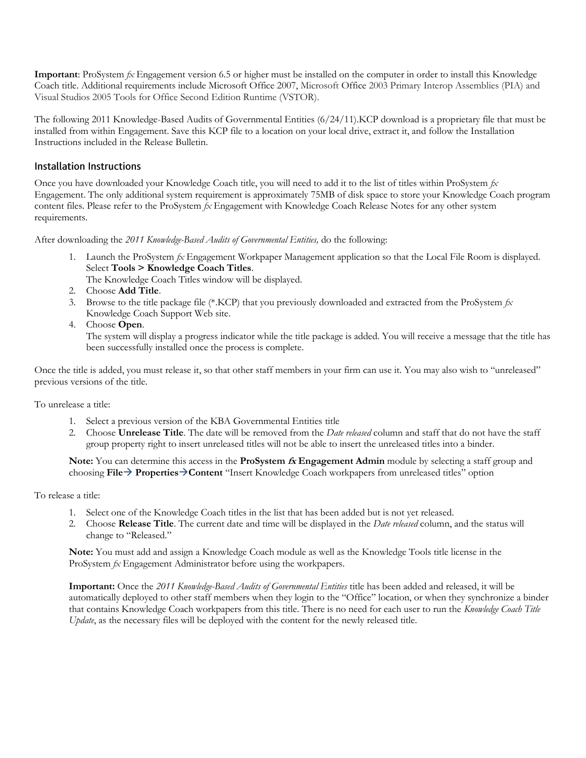**Important**: ProSystem *fx* Engagement version 6.5 or higher must be installed on the computer in order to install this Knowledge Coach title. Additional requirements include Microsoft Office 2007, Microsoft Office 2003 Primary Interop Assemblies (PIA) and Visual Studios 2005 Tools for Office Second Edition Runtime (VSTOR).

The following 2011 Knowledge-Based Audits of Governmental Entities (6/24/11).KCP download is a proprietary file that must be installed from within Engagement. Save this KCP file to a location on your local drive, extract it, and follow the Installation Instructions included in the Release Bulletin.

### Installation Instructions

Once you have downloaded your Knowledge Coach title, you will need to add it to the list of titles within ProSystem *fx* Engagement. The only additional system requirement is approximately 75MB of disk space to store your Knowledge Coach program content files. Please refer to the ProSystem *fx* Engagement with Knowledge Coach Release Notes for any other system requirements.

After downloading the *2011 Knowledge-Based Audits of Governmental Entities,* do the following:

- 1. Launch the ProSystem *fx* Engagement Workpaper Management application so that the Local File Room is displayed. Select **Tools > Knowledge Coach Titles**.
	- The Knowledge Coach Titles window will be displayed.
- 2. Choose **Add Title**.
- 3. Browse to the title package file (\*.KCP) that you previously downloaded and extracted from the ProSystem *fx* Knowledge Coach Support Web site.
- 4. Choose **Open**.

The system will display a progress indicator while the title package is added. You will receive a message that the title has been successfully installed once the process is complete.

Once the title is added, you must release it, so that other staff members in your firm can use it. You may also wish to "unreleased" previous versions of the title.

### To unrelease a title:

- 1. Select a previous version of the KBA Governmental Entities title
- 2. Choose **Unrelease Title**. The date will be removed from the *Date released* column and staff that do not have the staff group property right to insert unreleased titles will not be able to insert the unreleased titles into a binder.

**Note:** You can determine this access in the **ProSystem fx Engagement Admin** module by selecting a staff group and choosing **File PropertiesContent** "Insert Knowledge Coach workpapers from unreleased titles" option

### To release a title:

- 1. Select one of the Knowledge Coach titles in the list that has been added but is not yet released.
- 2. Choose **Release Title**. The current date and time will be displayed in the *Date released* column, and the status will change to "Released."

**Note:** You must add and assign a Knowledge Coach module as well as the Knowledge Tools title license in the ProSystem *fx* Engagement Administrator before using the workpapers.

**Important:** Once the *2011 Knowledge-Based Audits of Governmental Entities* title has been added and released, it will be automatically deployed to other staff members when they login to the "Office" location, or when they synchronize a binder that contains Knowledge Coach workpapers from this title. There is no need for each user to run the *Knowledge Coach Title Update*, as the necessary files will be deployed with the content for the newly released title.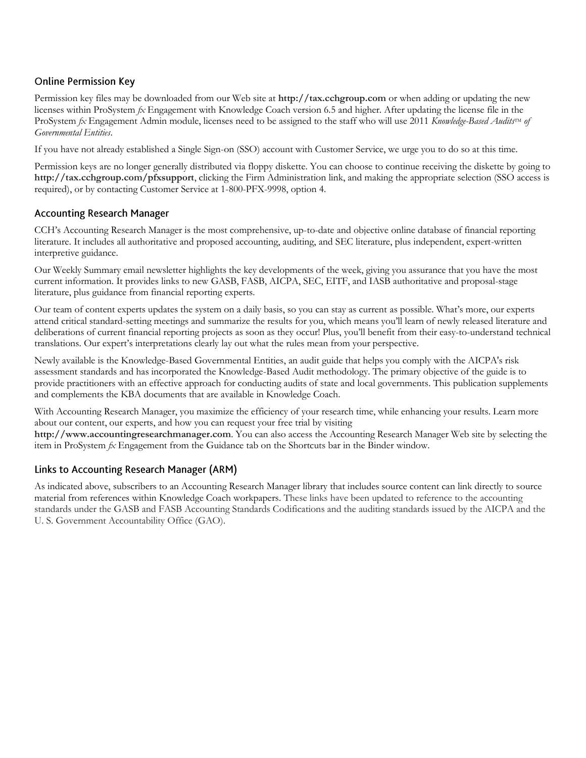# **Online Permission Key**

Permission key files may be downloaded from our Web site at **http://tax.cchgroup.com** or when adding or updating the new licenses within ProSystem *fx* Engagement with Knowledge Coach version 6.5 and higher. After updating the license file in the ProSystem *fx* Engagement Admin module, licenses need to be assigned to the staff who will use 2011 *Knowledge-Based Audits*<sup>IM</sup> of *Governmental Entities*.

If you have not already established a Single Sign-on (SSO) account with Customer Service, we urge you to do so at this time.

Permission keys are no longer generally distributed via floppy diskette. You can choose to continue receiving the diskette by going to **http://tax.cchgroup.com/pfxsupport**, clicking the Firm Administration link, and making the appropriate selection (SSO access is required), or by contacting Customer Service at 1-800-PFX-9998, option 4.

### **Accounting Research Manager**

CCH's Accounting Research Manager is the most comprehensive, up-to-date and objective online database of financial reporting literature. It includes all authoritative and proposed accounting, auditing, and SEC literature, plus independent, expert-written interpretive guidance.

Our Weekly Summary email newsletter highlights the key developments of the week, giving you assurance that you have the most current information. It provides links to new GASB, FASB, AICPA, SEC, EITF, and IASB authoritative and proposal-stage literature, plus guidance from financial reporting experts.

Our team of content experts updates the system on a daily basis, so you can stay as current as possible. What's more, our experts attend critical standard-setting meetings and summarize the results for you, which means you'll learn of newly released literature and deliberations of current financial reporting projects as soon as they occur! Plus, you'll benefit from their easy-to-understand technical translations. Our expert's interpretations clearly lay out what the rules mean from your perspective.

Newly available is the Knowledge-Based Governmental Entities, an audit guide that helps you comply with the AICPA's risk assessment standards and has incorporated the Knowledge-Based Audit methodology. The primary objective of the guide is to provide practitioners with an effective approach for conducting audits of state and local governments. This publication supplements and complements the KBA documents that are available in Knowledge Coach.

With Accounting Research Manager, you maximize the efficiency of your research time, while enhancing your results. Learn more about our content, our experts, and how you can request your free trial by visiting

**http://www.accountingresearchmanager.com**. You can also access the Accounting Research Manager Web site by selecting the item in ProSystem *fx* Engagement from the Guidance tab on the Shortcuts bar in the Binder window.

### Links to Accounting Research Manager (ARM)

As indicated above, subscribers to an Accounting Research Manager library that includes source content can link directly to source material from references within Knowledge Coach workpapers. These links have been updated to reference to the accounting standards under the GASB and FASB Accounting Standards Codifications and the auditing standards issued by the AICPA and the U. S. Government Accountability Office (GAO).